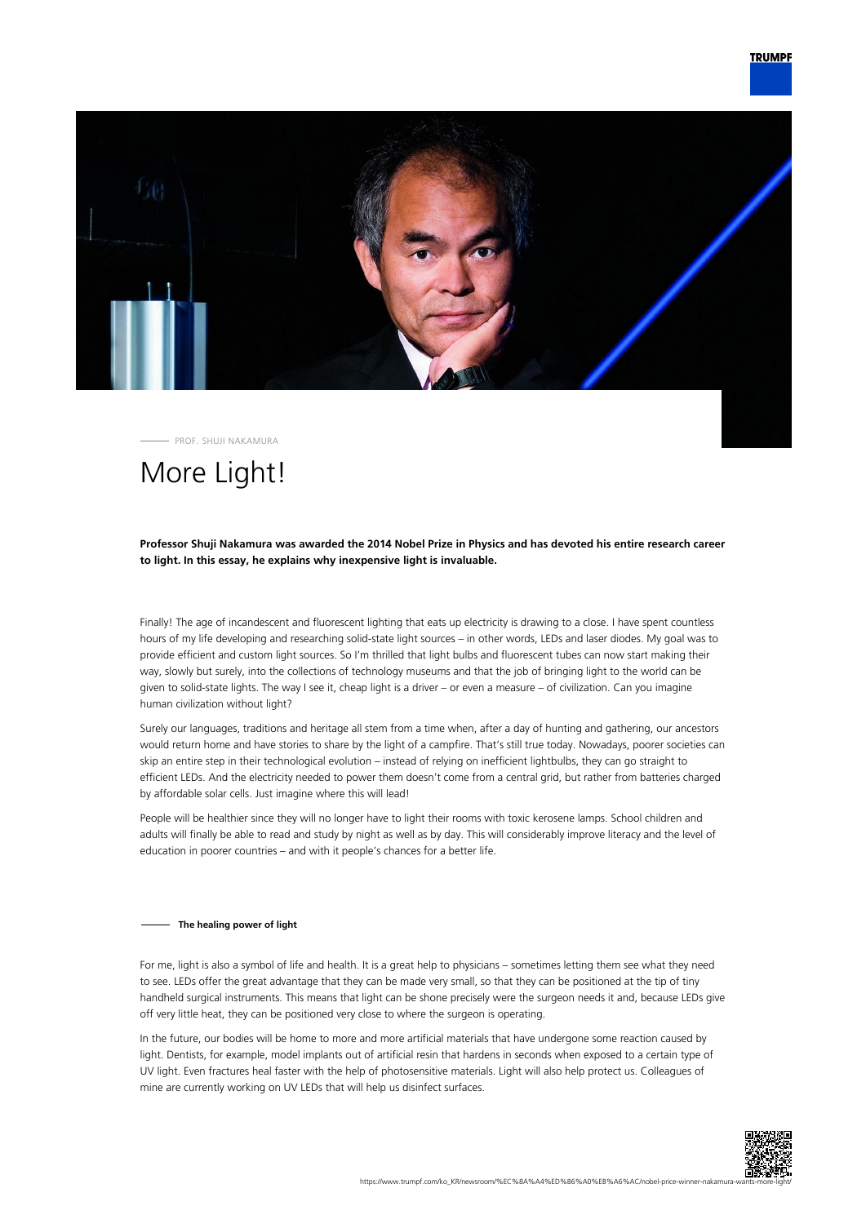

PROF. SHUJI NAKAMURA

# More Light!

### **Professor Shuji Nakamura was awarded the 2014 Nobel Prize in Physics and has devoted his entire research career to light. In this essay, he explains why inexpensive light is invaluable.**

Finally! The age of incandescent and fluorescent lighting that eats up electricity is drawing to a close. I have spent countless hours of my life developing and researching solid-state light sources – in other words, LEDs and laser diodes. My goal was to provide efficient and custom light sources. So I'm thrilled that light bulbs and fluorescent tubes can now start making their way, slowly but surely, into the collections of technology museums and that the job of bringing light to the world can be given to solid-state lights. The way I see it, cheap light is a driver – or even a measure – of civilization. Can you imagine human civilization without light?

Surely our languages, traditions and heritage all stem from a time when, after a day of hunting and gathering, our ancestors would return home and have stories to share by the light of a campfire. That's still true today. Nowadays, poorer societies can skip an entire step in their technological evolution – instead of relying on inefficient lightbulbs, they can go straight to efficient LEDs. And the electricity needed to power them doesn't come from a central grid, but rather from batteries charged by affordable solar cells. Just imagine where this will lead!

People will be healthier since they will no longer have to light their rooms with toxic kerosene lamps. School children and adults will finally be able to read and study by night as well as by day. This will considerably improve literacy and the level of education in poorer countries – and with it people's chances for a better life.

#### **The healing power of light**

For me, light is also a symbol of life and health. It is a great help to physicians – sometimes letting them see what they need to see. LEDs offer the great advantage that they can be made very small, so that they can be positioned at the tip of tiny handheld surgical instruments. This means that light can be shone precisely were the surgeon needs it and, because LEDs give off very little heat, they can be positioned very close to where the surgeon is operating.

In the future, our bodies will be home to more and more artificial materials that have undergone some reaction caused by light. Dentists, for example, model implants out of artificial resin that hardens in seconds when exposed to a certain type of UV light. Even fractures heal faster with the help of photosensitive materials. Light will also help protect us. Colleagues of mine are currently working on UV LEDs that will help us disinfect surfaces.

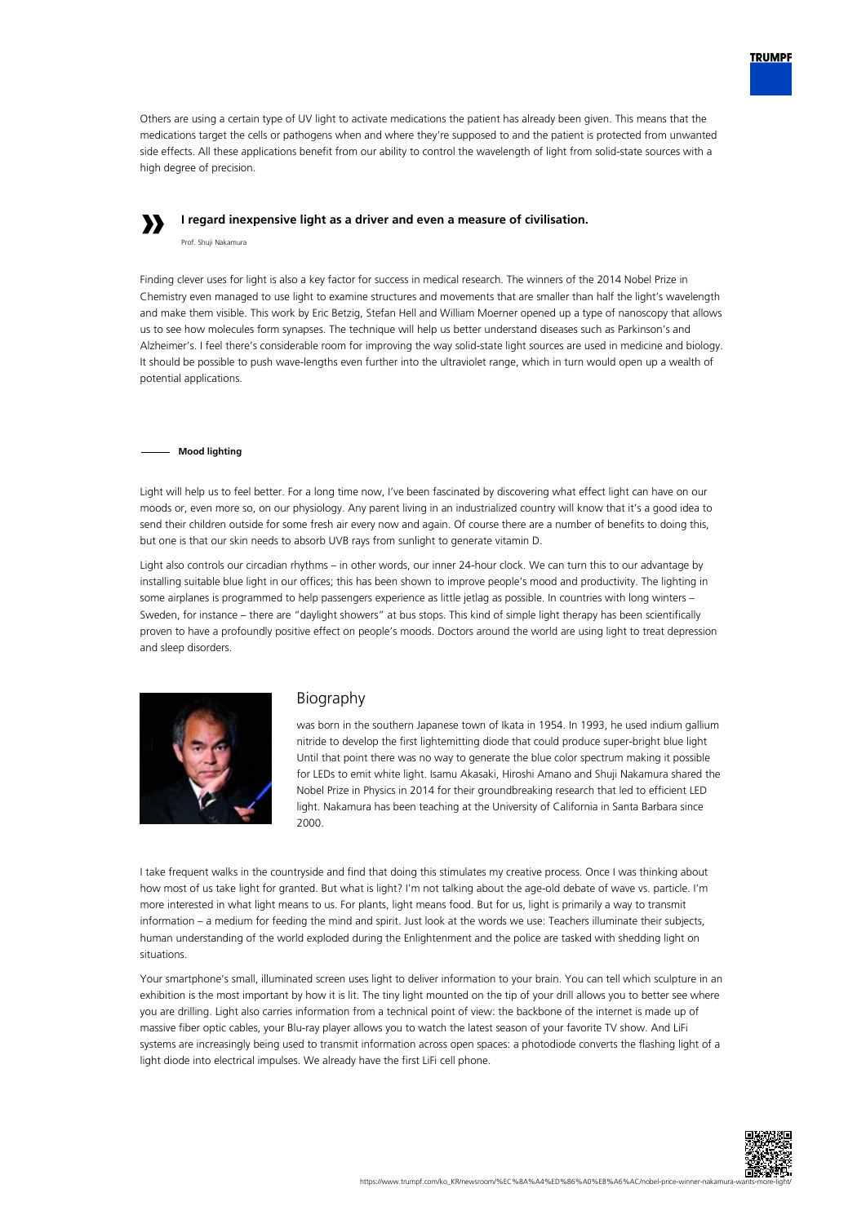

Others are using a certain type of UV light to activate medications the patient has already been given. This means that the medications target the cells or pathogens when and where they're supposed to and the patient is protected from unwanted side effects. All these applications benefit from our ability to control the wavelength of light from solid-state sources with a high degree of precision.

# **»**

**I regard inexpensive light as a driver and even a measure of civilisation.**

Prof. Shuji Nakamura

Finding clever uses for light is also a key factor for success in medical research. The winners of the 2014 Nobel Prize in Chemistry even managed to use light to examine structures and movements that are smaller than half the light's wavelength and make them visible. This work by Eric Betzig, Stefan Hell and William Moerner opened up a type of nanoscopy that allows us to see how molecules form synapses. The technique will help us better understand diseases such as Parkinson's and Alzheimer's. I feel there's considerable room for improving the way solid-state light sources are used in medicine and biology. It should be possible to push wave-lengths even further into the ultraviolet range, which in turn would open up a wealth of potential applications.

### **Mood lighting**

Light will help us to feel better. For a long time now, I've been fascinated by discovering what effect light can have on our moods or, even more so, on our physiology. Any parent living in an industrialized country will know that it's a good idea to send their children outside for some fresh air every now and again. Of course there are a number of benefits to doing this, but one is that our skin needs to absorb UVB rays from sunlight to generate vitamin D.

Light also controls our circadian rhythms – in other words, our inner 24-hour clock. We can turn this to our advantage by installing suitable blue light in our offices; this has been shown to improve people's mood and productivity. The lighting in some airplanes is programmed to help passengers experience as little jetlag as possible. In countries with long winters – Sweden, for instance – there are "daylight showers" at bus stops. This kind of simple light therapy has been scientifically proven to have a profoundly positive effect on people's moods. Doctors around the world are using light to treat depression and sleep disorders.



## Biography

was born in the southern Japanese town of Ikata in 1954. In 1993, he used indium gallium nitride to develop the first lightemitting diode that could produce super-bright blue light Until that point there was no way to generate the blue color spectrum making it possible for LEDs to emit white light. Isamu Akasaki, Hiroshi Amano and Shuji Nakamura shared the Nobel Prize in Physics in 2014 for their groundbreaking research that led to efficient LED light. Nakamura has been teaching at the University of California in Santa Barbara since 2000.

I take frequent walks in the countryside and find that doing this stimulates my creative process. Once I was thinking about how most of us take light for granted. But what is light? I'm not talking about the age-old debate of wave vs. particle. I'm more interested in what light means to us. For plants, light means food. But for us, light is primarily a way to transmit information – a medium for feeding the mind and spirit. Just look at the words we use: Teachers illuminate their subjects, human understanding of the world exploded during the Enlightenment and the police are tasked with shedding light on situations.

Your smartphone's small, illuminated screen uses light to deliver information to your brain. You can tell which sculpture in an exhibition is the most important by how it is lit. The tiny light mounted on the tip of your drill allows you to better see where you are drilling. Light also carries information from a technical point of view: the backbone of the internet is made up of massive fiber optic cables, your Blu-ray player allows you to watch the latest season of your favorite TV show. And LiFi systems are increasingly being used to transmit information across open spaces: a photodiode converts the flashing light of a light diode into electrical impulses. We already have the first LiFi cell phone.